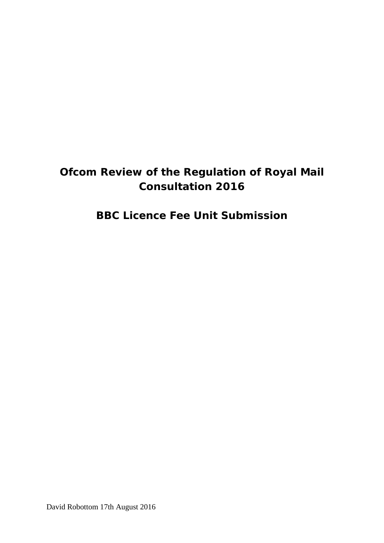# **Ofcom Review of the Regulation of Royal Mail Consultation 2016**

# **BBC Licence Fee Unit Submission**

David Robottom 17th August 2016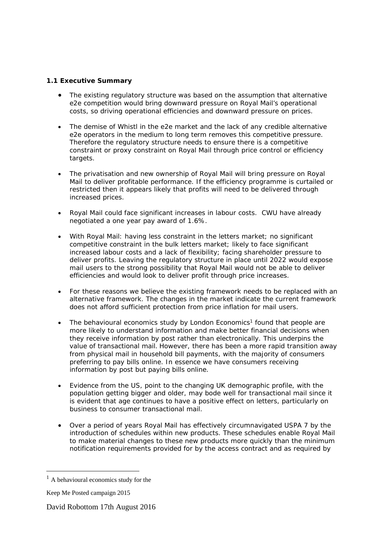# **1.1 Executive Summary**

- The existing regulatory structure was based on the assumption that alternative e2e competition would bring downward pressure on Royal Mail's operational costs, so driving operational efficiencies and downward pressure on prices.
- The demise of Whistl in the e2e market and the lack of any credible alternative e2e operators in the medium to long term removes this competitive pressure. Therefore the regulatory structure needs to ensure there is a competitive constraint or proxy constraint on Royal Mail through price control or efficiency targets.
- The privatisation and new ownership of Royal Mail will bring pressure on Royal Mail to deliver profitable performance. If the efficiency programme is curtailed or restricted then it appears likely that profits will need to be delivered through increased prices.
- Royal Mail could face significant increases in labour costs. CWU have already negotiated a one year pay award of 1.6%.
- With Royal Mail: having less constraint in the letters market; no significant competitive constraint in the bulk letters market; likely to face significant increased labour costs and a lack of flexibility; facing shareholder pressure to deliver profits. Leaving the regulatory structure in place until 2022 would expose mail users to the strong possibility that Royal Mail would not be able to deliver efficiencies and would look to deliver profit through price increases.
- For these reasons we believe the existing framework needs to be replaced with an alternative framework. The changes in the market indicate the current framework does not afford sufficient protection from price inflation for mail users.
- The behavioural economics study by London Economics<sup>1</sup> found that people are more likely to understand information and make better financial decisions when they receive information by post rather than electronically. This underpins the value of transactional mail. However, there has been a more rapid transition away from physical mail in household bill payments, with the majority of consumers preferring to pay bills online. In essence we have consumers receiving information by post but paying bills online.
- Evidence from the US, point to the changing UK demographic profile, with the population getting bigger and older, may bode well for transactional mail since it is evident that age continues to have a positive effect on letters, particularly on business to consumer transactional mail.
- Over a period of years Royal Mail has effectively circumnavigated USPA 7 by the introduction of schedules within new products. These schedules enable Royal Mail to make material changes to these new products more quickly than the minimum notification requirements provided for by the access contract and as required by

1

 $<sup>1</sup>$  A behavioural economics study for the</sup>

Keep Me Posted campaign 2015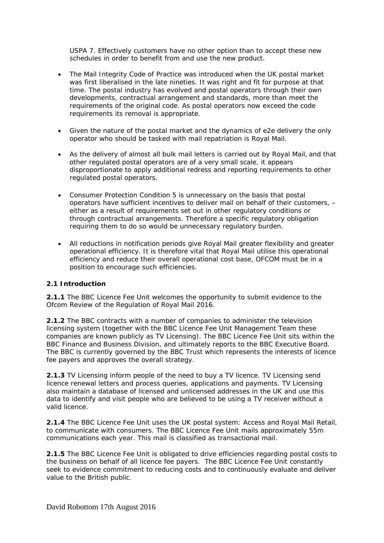USPA 7. Effectively customers have no other option than to accept these new schedules in order to benefit from and use the new product.

- The Mail Integrity Code of Practice was introduced when the UK postal market was first liberalised in the late nineties. It was right and fit for purpose at that time. The postal industry has evolved and postal operators through their own developments, contractual arrangement and standards, more than meet the requirements of the original code. As postal operators now exceed the code requirements its removal is appropriate.
- Given the nature of the postal market and the dynamics of e2e delivery the only operator who should be tasked with mail repatriation is Royal Mail.
- As the delivery of almost all bulk mail letters is carried out by Royal Mail, and that other regulated postal operators are of a very small scale, it appears disproportionate to apply additional redress and reporting requirements to other regulated postal operators.
- Consumer Protection Condition 5 is unnecessary on the basis that postal operators have sufficient incentives to deliver mail on behalf of their customers, – either as a result of requirements set out in other regulatory conditions or through contractual arrangements. Therefore a specific regulatory obligation requiring them to do so would be unnecessary regulatory burden.
- All reductions in notification periods give Royal Mail greater flexibility and greater operational efficiency. It is therefore vital that Royal Mail utilise this operational efficiency and reduce their overall operational cost base, OFCOM must be in a position to encourage such efficiencies.

#### **2.1 Introduction**

**2.1.1** The BBC Licence Fee Unit welcomes the opportunity to submit evidence to the Ofcom Review of the Regulation of Royal Mail 2016.

**2.1.2** The BBC contracts with a number of companies to administer the television licensing system (together with the BBC Licence Fee Unit Management Team these companies are known publicly as TV Licensing). The BBC Licence Fee Unit sits within the BBC Finance and Business Division, and ultimately reports to the BBC Executive Board. The BBC is currently governed by the BBC Trust which represents the interests of licence fee payers and approves the overall strategy.

**2.1.3** TV Licensing inform people of the need to buy a TV licence. TV Licensing send licence renewal letters and process queries, applications and payments. TV Licensing also maintain a database of licensed and unlicensed addresses in the UK and use this data to identify and visit people who are believed to be using a TV receiver without a valid licence.

**2.1.4** The BBC Licence Fee Unit uses the UK postal system: Access and Royal Mail Retail, to communicate with consumers. The BBC Licence Fee Unit mails approximately 55m communications each year. This mail is classified as transactional mail.

**2.1.5** The BBC Licence Fee Unit is obligated to drive efficiencies regarding postal costs to the business on behalf of all licence fee payers. The BBC Licence Fee Unit constantly seek to evidence commitment to reducing costs and to continuously evaluate and deliver value to the British public.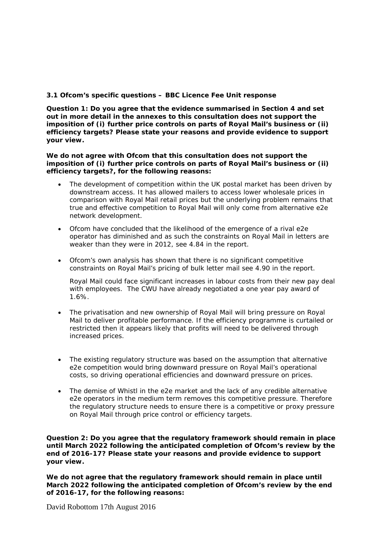### **3.1 Ofcom's specific questions – BBC Licence Fee Unit response**

*Question 1: Do you agree that the evidence summarised in Section 4 and set out in more detail in the annexes to this consultation does not support the imposition of (i) further price controls on parts of Royal Mail's business or (ii) efficiency targets? Please state your reasons and provide evidence to support your view.* 

**We do not agree with Ofcom that this consultation does not support the imposition of (i) further price controls on parts of Royal Mail's business or (ii) efficiency targets?, for the following reasons:** 

- The development of competition within the UK postal market has been driven by downstream access. It has allowed mailers to access lower wholesale prices in comparison with Royal Mail retail prices but the underlying problem remains that true and effective competition to Royal Mail will only come from alternative e2e network development.
- Ofcom have concluded that the likelihood of the emergence of a rival e2e operator has diminished and as such the constraints on Royal Mail in letters are weaker than they were in 2012, see 4.84 in the report.
- Ofcom's own analysis has shown that there is no significant competitive constraints on Royal Mail's pricing of bulk letter mail see 4.90 in the report.

Royal Mail could face significant increases in labour costs from their new pay deal with employees. The CWU have already negotiated a one year pay award of 1.6%.

- The privatisation and new ownership of Royal Mail will bring pressure on Royal Mail to deliver profitable performance. If the efficiency programme is curtailed or restricted then it appears likely that profits will need to be delivered through increased prices.
- The existing regulatory structure was based on the assumption that alternative e2e competition would bring downward pressure on Royal Mail's operational costs, so driving operational efficiencies and downward pressure on prices.
- The demise of Whistl in the e2e market and the lack of any credible alternative e2e operators in the medium term removes this competitive pressure. Therefore the regulatory structure needs to ensure there is a competitive or proxy pressure on Royal Mail through price control or efficiency targets.

*Question 2: Do you agree that the regulatory framework should remain in place until March 2022 following the anticipated completion of Ofcom's review by the end of 2016-17? Please state your reasons and provide evidence to support your view.* 

**We do not agree that the regulatory framework should remain in place until March 2022 following the anticipated completion of Ofcom's review by the end of 2016-17, for the following reasons:** 

David Robottom 17th August 2016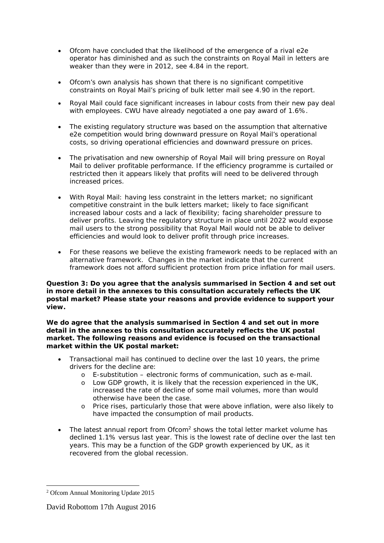- Ofcom have concluded that the likelihood of the emergence of a rival e2e operator has diminished and as such the constraints on Royal Mail in letters are weaker than they were in 2012, see 4.84 in the report.
- Ofcom's own analysis has shown that there is no significant competitive constraints on Royal Mail's pricing of bulk letter mail see 4.90 in the report.
- Royal Mail could face significant increases in labour costs from their new pay deal with employees. CWU have already negotiated a one pay award of 1.6%.
- The existing regulatory structure was based on the assumption that alternative e2e competition would bring downward pressure on Royal Mail's operational costs, so driving operational efficiencies and downward pressure on prices.
- The privatisation and new ownership of Royal Mail will bring pressure on Royal Mail to deliver profitable performance. If the efficiency programme is curtailed or restricted then it appears likely that profits will need to be delivered through increased prices.
- With Royal Mail: having less constraint in the letters market; no significant competitive constraint in the bulk letters market; likely to face significant increased labour costs and a lack of flexibility; facing shareholder pressure to deliver profits. Leaving the regulatory structure in place until 2022 would expose mail users to the strong possibility that Royal Mail would not be able to deliver efficiencies and would look to deliver profit through price increases.
- For these reasons we believe the existing framework needs to be replaced with an alternative framework. Changes in the market indicate that the current framework does not afford sufficient protection from price inflation for mail users.

#### *Question 3: Do you agree that the analysis summarised in Section 4 and set out in more detail in the annexes to this consultation accurately reflects the UK postal market? Please state your reasons and provide evidence to support your view.*

#### **We do agree that the analysis summarised in Section 4 and set out in more detail in the annexes to this consultation accurately reflects the UK postal market. The following reasons and evidence is focused on the transactional market within the UK postal market:**

- Transactional mail has continued to decline over the last 10 years, the prime drivers for the decline are:
	- o E-substitution electronic forms of communication, such as e-mail.
	- o Low GDP growth, it is likely that the recession experienced in the UK, increased the rate of decline of some mail volumes, more than would otherwise have been the case.
	- o Price rises, particularly those that were above inflation, were also likely to have impacted the consumption of mail products.
- The latest annual report from Ofcom<sup>2</sup> shows the total letter market volume has declined 1.1% versus last year. This is the lowest rate of decline over the last ten years. This may be a function of the GDP growth experienced by UK, as it recovered from the global recession.

1

<sup>2</sup> Ofcom Annual Monitoring Update 2015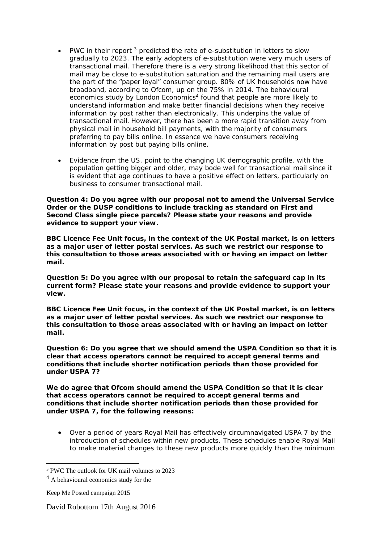- PWC in their report  $3$  predicted the rate of e-substitution in letters to slow gradually to 2023. The early adopters of e-substitution were very much users of transactional mail. Therefore there is a very strong likelihood that this sector of mail may be close to e-substitution saturation and the remaining mail users are the part of the "paper loyal" consumer group. 80% of UK households now have broadband, according to Ofcom, up on the 75% in 2014. The behavioural economics study by London Economics<sup>4</sup> found that people are more likely to understand information and make better financial decisions when they receive information by post rather than electronically. This underpins the value of transactional mail. However, there has been a more rapid transition away from physical mail in household bill payments, with the majority of consumers preferring to pay bills online. In essence we have consumers receiving information by post but paying bills online.
- Evidence from the US, point to the changing UK demographic profile, with the population getting bigger and older, may bode well for transactional mail since it is evident that age continues to have a positive effect on letters, particularly on business to consumer transactional mail.

#### *Question 4: Do you agree with our proposal not to amend the Universal Service Order or the DUSP conditions to include tracking as standard on First and Second Class single piece parcels? Please state your reasons and provide evidence to support your view.*

**BBC Licence Fee Unit focus, in the context of the UK Postal market, is on letters as a major user of letter postal services. As such we restrict our response to this consultation to those areas associated with or having an impact on letter mail.** 

*Question 5: Do you agree with our proposal to retain the safeguard cap in its current form? Please state your reasons and provide evidence to support your view.* 

**BBC Licence Fee Unit focus, in the context of the UK Postal market, is on letters as a major user of letter postal services. As such we restrict our response to this consultation to those areas associated with or having an impact on letter mail.** 

*Question 6: Do you agree that we should amend the USPA Condition so that it is clear that access operators cannot be required to accept general terms and conditions that include shorter notification periods than those provided for under USPA 7?* 

**We do agree that Ofcom should amend the USPA Condition so that it is clear that access operators cannot be required to accept general terms and conditions that include shorter notification periods than those provided for under USPA 7, for the following reasons:** 

 Over a period of years Royal Mail has effectively circumnavigated USPA 7 by the introduction of schedules within new products. These schedules enable Royal Mail to make material changes to these new products more quickly than the minimum

<u>.</u>

<sup>3</sup> PWC The outlook for UK mail volumes to 2023

<sup>&</sup>lt;sup>4</sup> A behavioural economics study for the

Keep Me Posted campaign 2015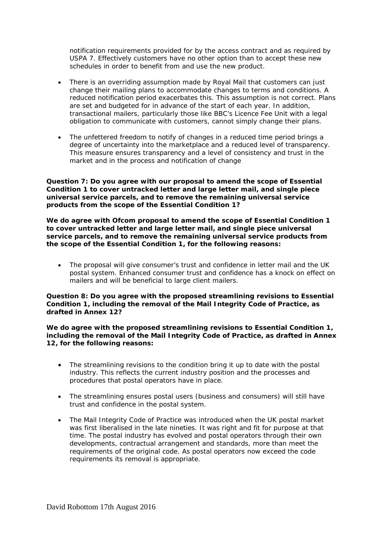notification requirements provided for by the access contract and as required by USPA 7. Effectively customers have no other option than to accept these new schedules in order to benefit from and use the new product.

- There is an overriding assumption made by Royal Mail that customers can just change their mailing plans to accommodate changes to terms and conditions. A reduced notification period exacerbates this. This assumption is not correct. Plans are set and budgeted for in advance of the start of each year. In addition, transactional mailers, particularly those like BBC's Licence Fee Unit with a legal obligation to communicate with customers, cannot simply change their plans.
- The unfettered freedom to notify of changes in a reduced time period brings a degree of uncertainty into the marketplace and a reduced level of transparency. This measure ensures transparency and a level of consistency and trust in the market and in the process and notification of change

#### *Question 7: Do you agree with our proposal to amend the scope of Essential Condition 1 to cover untracked letter and large letter mail, and single piece universal service parcels, and to remove the remaining universal service products from the scope of the Essential Condition 1?*

**We do agree with Ofcom proposal to amend the scope of Essential Condition 1 to cover untracked letter and large letter mail, and single piece universal service parcels, and to remove the remaining universal service products from the scope of the Essential Condition 1, for the following reasons:** 

 The proposal will give consumer's trust and confidence in letter mail and the UK postal system. Enhanced consumer trust and confidence has a knock on effect on mailers and will be beneficial to large client mailers.

#### *Question 8: Do you agree with the proposed streamlining revisions to Essential Condition 1, including the removal of the Mail Integrity Code of Practice, as drafted in Annex 12?*

**We do agree with the proposed streamlining revisions to Essential Condition 1, including the removal of the Mail Integrity Code of Practice, as drafted in Annex 12, for the following reasons:** 

- The streamlining revisions to the condition bring it up to date with the postal industry. This reflects the current industry position and the processes and procedures that postal operators have in place.
- The streamlining ensures postal users (business and consumers) will still have trust and confidence in the postal system.
- The Mail Integrity Code of Practice was introduced when the UK postal market was first liberalised in the late nineties. It was right and fit for purpose at that time. The postal industry has evolved and postal operators through their own developments, contractual arrangement and standards, more than meet the requirements of the original code. As postal operators now exceed the code requirements its removal is appropriate.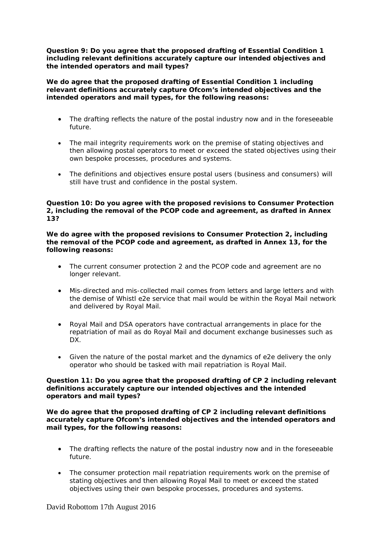#### *Question 9: Do you agree that the proposed drafting of Essential Condition 1 including relevant definitions accurately capture our intended objectives and the intended operators and mail types?*

**We do agree that the proposed drafting of Essential Condition 1 including relevant definitions accurately capture Ofcom's intended objectives and the intended operators and mail types, for the following reasons:** 

- The drafting reflects the nature of the postal industry now and in the foreseeable future.
- The mail integrity requirements work on the premise of stating objectives and then allowing postal operators to meet or exceed the stated objectives using their own bespoke processes, procedures and systems.
- The definitions and objectives ensure postal users (business and consumers) will still have trust and confidence in the postal system.

### *Question 10: Do you agree with the proposed revisions to Consumer Protection 2, including the removal of the PCOP code and agreement, as drafted in Annex 13?*

**We do agree with the proposed revisions to Consumer Protection 2, including the removal of the PCOP code and agreement, as drafted in Annex 13, for the following reasons:** 

- The current consumer protection 2 and the PCOP code and agreement are no longer relevant.
- Mis-directed and mis-collected mail comes from letters and large letters and with the demise of Whistl e2e service that mail would be within the Royal Mail network and delivered by Royal Mail.
- Royal Mail and DSA operators have contractual arrangements in place for the repatriation of mail as do Royal Mail and document exchange businesses such as DX.
- Given the nature of the postal market and the dynamics of e2e delivery the only operator who should be tasked with mail repatriation is Royal Mail.

#### *Question 11: Do you agree that the proposed drafting of CP 2 including relevant definitions accurately capture our intended objectives and the intended operators and mail types?*

**We do agree that the proposed drafting of CP 2 including relevant definitions accurately capture Ofcom's intended objectives and the intended operators and mail types, for the following reasons:** 

- The drafting reflects the nature of the postal industry now and in the foreseeable future.
- The consumer protection mail repatriation requirements work on the premise of stating objectives and then allowing Royal Mail to meet or exceed the stated objectives using their own bespoke processes, procedures and systems.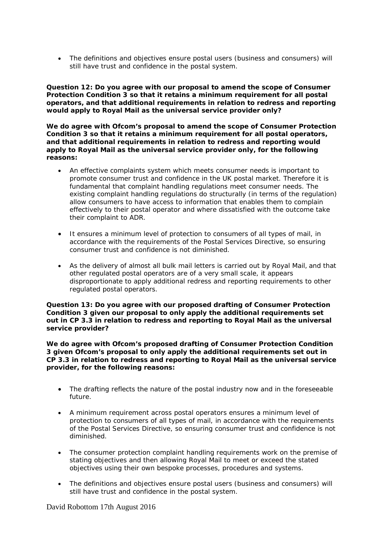The definitions and objectives ensure postal users (business and consumers) will still have trust and confidence in the postal system.

#### *Question 12: Do you agree with our proposal to amend the scope of Consumer Protection Condition 3 so that it retains a minimum requirement for all postal operators, and that additional requirements in relation to redress and reporting would apply to Royal Mail as the universal service provider only?*

**We do agree with Ofcom's proposal to amend the scope of Consumer Protection Condition 3 so that it retains a minimum requirement for all postal operators, and that additional requirements in relation to redress and reporting would apply to Royal Mail as the universal service provider only, for the following reasons:** 

- An effective complaints system which meets consumer needs is important to promote consumer trust and confidence in the UK postal market. Therefore it is fundamental that complaint handling regulations meet consumer needs. The existing complaint handling regulations do structurally (in terms of the regulation) allow consumers to have access to information that enables them to complain effectively to their postal operator and where dissatisfied with the outcome take their complaint to ADR.
- It ensures a minimum level of protection to consumers of all types of mail, in accordance with the requirements of the Postal Services Directive, so ensuring consumer trust and confidence is not diminished.
- As the delivery of almost all bulk mail letters is carried out by Royal Mail, and that other regulated postal operators are of a very small scale, it appears disproportionate to apply additional redress and reporting requirements to other regulated postal operators.

#### *Question 13: Do you agree with our proposed drafting of Consumer Protection Condition 3 given our proposal to only apply the additional requirements set out in CP 3.3 in relation to redress and reporting to Royal Mail as the universal service provider?*

**We do agree with Ofcom's proposed drafting of Consumer Protection Condition 3 given Ofcom's proposal to only apply the additional requirements set out in CP 3.3 in relation to redress and reporting to Royal Mail as the universal service provider, for the following reasons:** 

- The drafting reflects the nature of the postal industry now and in the foreseeable future.
- A minimum requirement across postal operators ensures a minimum level of protection to consumers of all types of mail, in accordance with the requirements of the Postal Services Directive, so ensuring consumer trust and confidence is not diminished.
- The consumer protection complaint handling requirements work on the premise of stating objectives and then allowing Royal Mail to meet or exceed the stated objectives using their own bespoke processes, procedures and systems.
- The definitions and objectives ensure postal users (business and consumers) will still have trust and confidence in the postal system.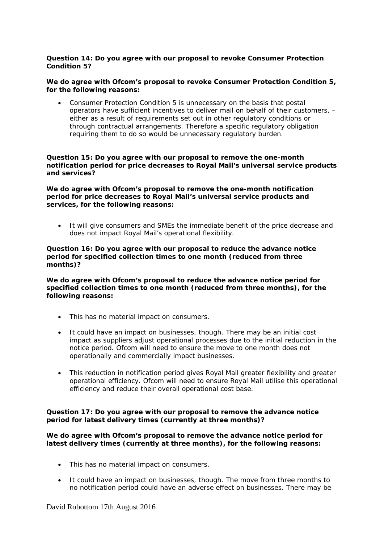# *Question 14: Do you agree with our proposal to revoke Consumer Protection Condition 5?*

#### **We do agree with Ofcom's proposal to revoke Consumer Protection Condition 5, for the following reasons:**

 Consumer Protection Condition 5 is unnecessary on the basis that postal operators have sufficient incentives to deliver mail on behalf of their customers, – either as a result of requirements set out in other regulatory conditions or through contractual arrangements. Therefore a specific regulatory obligation requiring them to do so would be unnecessary regulatory burden.

#### *Question 15: Do you agree with our proposal to remove the one-month notification period for price decreases to Royal Mail's universal service products and services?*

**We do agree with Ofcom's proposal to remove the one-month notification period for price decreases to Royal Mail's universal service products and services, for the following reasons:** 

 It will give consumers and SMEs the immediate benefit of the price decrease and does not impact Royal Mail's operational flexibility.

#### *Question 16: Do you agree with our proposal to reduce the advance notice period for specified collection times to one month (reduced from three months)?*

**We do agree with Ofcom's proposal to reduce the advance notice period for specified collection times to one month (reduced from three months), for the following reasons:** 

- This has no material impact on consumers.
- It could have an impact on businesses, though. There may be an initial cost impact as suppliers adjust operational processes due to the initial reduction in the notice period. Ofcom will need to ensure the move to one month does not operationally and commercially impact businesses.
- This reduction in notification period gives Royal Mail greater flexibility and greater operational efficiency. Ofcom will need to ensure Royal Mail utilise this operational efficiency and reduce their overall operational cost base.

# *Question 17: Do you agree with our proposal to remove the advance notice period for latest delivery times (currently at three months)?*

# **We do agree with Ofcom's proposal to** *remove the advance notice period for latest delivery times (currently at three months),* **for the following reasons:**

- This has no material impact on consumers.
- It could have an impact on businesses, though. The move from three months to no notification period could have an adverse effect on businesses. There may be